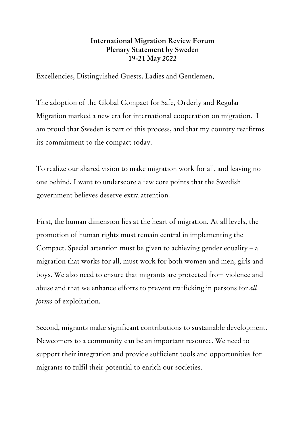## **International Migration Review Forum Plenary Statement by Sweden 19-21 May 2022**

Excellencies, Distinguished Guests, Ladies and Gentlemen,

The adoption of the Global Compact for Safe, Orderly and Regular Migration marked a new era for international cooperation on migration. I am proud that Sweden is part of this process, and that my country reaffirms its commitment to the compact today.

To realize our shared vision to make migration work for all, and leaving no one behind, I want to underscore a few core points that the Swedish government believes deserve extra attention.

First, the human dimension lies at the heart of migration. At all levels, the promotion of human rights must remain central in implementing the Compact. Special attention must be given to achieving gender equality – a migration that works for all, must work for both women and men, girls and boys. We also need to ensure that migrants are protected from violence and abuse and that we enhance efforts to prevent trafficking in persons for *all forms* of exploitation.

Second, migrants make significant contributions to sustainable development. Newcomers to a community can be an important resource. We need to support their integration and provide sufficient tools and opportunities for migrants to fulfil their potential to enrich our societies.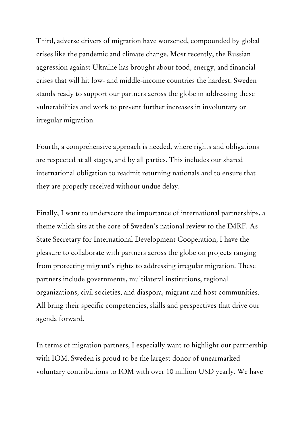Third, adverse drivers of migration have worsened, compounded by global crises like the pandemic and climate change. Most recently, the Russian aggression against Ukraine has brought about food, energy, and financial crises that will hit low- and middle-income countries the hardest. Sweden stands ready to support our partners across the globe in addressing these vulnerabilities and work to prevent further increases in involuntary or irregular migration.

Fourth, a comprehensive approach is needed, where rights and obligations are respected at all stages, and by all parties. This includes our shared international obligation to readmit returning nationals and to ensure that they are properly received without undue delay.

Finally, I want to underscore the importance of international partnerships, a theme which sits at the core of Sweden's national review to the IMRF. As State Secretary for International Development Cooperation, I have the pleasure to collaborate with partners across the globe on projects ranging from protecting migrant's rights to addressing irregular migration. These partners include governments, multilateral institutions, regional organizations, civil societies, and diaspora, migrant and host communities. All bring their specific competencies, skills and perspectives that drive our agenda forward.

In terms of migration partners, I especially want to highlight our partnership with IOM. Sweden is proud to be the largest donor of unearmarked voluntary contributions to IOM with over 10 million USD yearly. We have